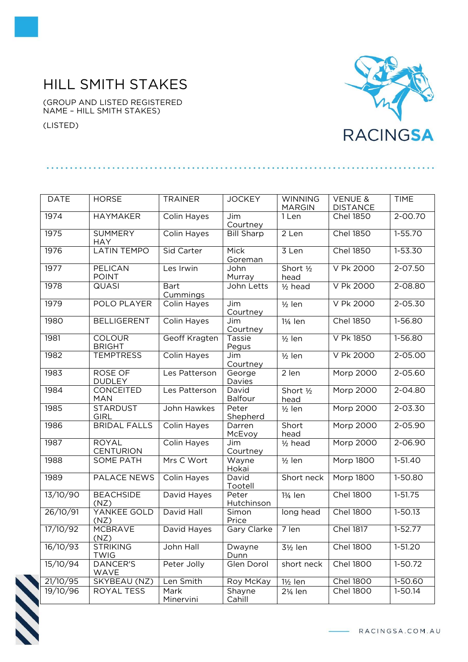## HILL SMITH STAKES

(GROUP AND LISTED REGISTERED NAME – HILL SMITH STAKES)

(LISTED)



| <b>DATE</b> | <b>HORSE</b>                     | <b>TRAINER</b>          | <b>JOCKEY</b>       | <b>WINNING</b>       | <b>VENUE &amp;</b> | <b>TIME</b> |
|-------------|----------------------------------|-------------------------|---------------------|----------------------|--------------------|-------------|
|             |                                  |                         |                     | <b>MARGIN</b>        | <b>DISTANCE</b>    |             |
| 1974        | <b>HAYMAKER</b>                  | Colin Hayes             | Jim<br>Courtney     | 1 Len                | <b>Chel 1850</b>   | $2 - 00.70$ |
| 1975        | <b>SUMMERY</b><br><b>HAY</b>     | <b>Colin Hayes</b>      | <b>Bill Sharp</b>   | 2 Len                | <b>Chel 1850</b>   | $1-55.70$   |
| 1976        | <b>LATIN TEMPO</b>               | Sid Carter              | Mick<br>Goreman     | 3 Len                | <b>Chel 1850</b>   | $1 - 53.30$ |
| 1977        | PELICAN<br><b>POINT</b>          | Les Irwin               | John<br>Murray      | Short 1/2<br>head    | V Pk 2000          | 2-07.50     |
| 1978        | <b>QUASI</b>                     | <b>Bart</b><br>Cummings | John Letts          | $1/2$ head           | V Pk 2000          | $2 - 08.80$ |
| 1979        | POLO PLAYER                      | Colin Hayes             | Jim<br>Courtney     | $1/2$ len            | V Pk 2000          | 2-05.30     |
| 1980        | <b>BELLIGERENT</b>               | Colin Hayes             | Jim<br>Courtney     | 1¼ len               | <b>Chel 1850</b>   | 1-56.80     |
| 1981        | <b>COLOUR</b><br><b>BRIGHT</b>   | Geoff Kragten           | Tassie<br>Pegus     | $1/2$ len            | V Pk 1850          | $1 - 56.80$ |
| 1982        | <b>TEMPTRESS</b>                 | <b>Colin Hayes</b>      | Jim<br>Courtney     | $1/2$ len            | V Pk 2000          | 2-05.00     |
| 1983        | ROSE OF<br><b>DUDLEY</b>         | Les Patterson           | George<br>Davies    | 2 len                | <b>Morp 2000</b>   | $2 - 05.60$ |
| 1984        | CONCEITED<br><b>MAN</b>          | Les Patterson           | David<br>Balfour    | Short 1/2<br>head    | <b>Morp 2000</b>   | $2 - 04.80$ |
| 1985        | <b>STARDUST</b><br><b>GIRL</b>   | John Hawkes             | Peter<br>Shepherd   | $1/2$ len            | <b>Morp 2000</b>   | $2 - 03.30$ |
| 1986        | <b>BRIDAL FALLS</b>              | <b>Colin Hayes</b>      | Darren<br>McEvoy    | Short<br>head        | <b>Morp 2000</b>   | $2 - 05.90$ |
| 1987        | <b>ROYAL</b><br><b>CENTURION</b> | Colin Hayes             | Jim<br>Courtney     | $1/2$ head           | Morp 2000          | $2 - 06.90$ |
| 1988        | <b>SOME PATH</b>                 | Mrs C Wort              | Wayne<br>Hokai      | $1/2$ len            | <b>Morp 1800</b>   | $1-51.40$   |
| 1989        | <b>PALACE NEWS</b>               | <b>Colin Hayes</b>      | David<br>Tootell    | Short neck           | <b>Morp 1800</b>   | $1-50.80$   |
| 13/10/90    | <b>BEACHSIDE</b><br>(NZ)         | David Hayes             | Peter<br>Hutchinson | 13/ <sub>4</sub> len | <b>Chel 1800</b>   | $1 - 51.75$ |
| 26/10/91    | YANKEE GOLD<br>(NZ)              | David Hall              | Simon<br>Price      | long head            | <b>Chel 1800</b>   | $1 - 50.13$ |
| 17/10/92    | MCBRAVE<br>(NZ)                  | David Hayes             | Gary Clarke         | 7 len                | <b>Chel 1817</b>   | $1 - 52.77$ |
| 16/10/93    | <b>STRIKING</b><br><b>TWIG</b>   | John Hall               | Dwayne<br>Dunn      | 3½ len               | <b>Chel 1800</b>   | 1-51.20     |
| 15/10/94    | <b>DANCER'S</b><br>WAVE          | Peter Jolly             | Glen Dorol          | short neck           | <b>Chel 1800</b>   | 1-50.72     |
| 21/10/95    | SKYBEAU (NZ)                     | Len Smith               | Roy McKay           | $1\frac{1}{2}$ len   | <b>Chel 1800</b>   | 1-50.60     |
| 19/10/96    | ROYAL TESS                       | Mark<br>Minervini       | Shayne<br>Cahill    | 2¼ len               | <b>Chel 1800</b>   | 1-50.14     |